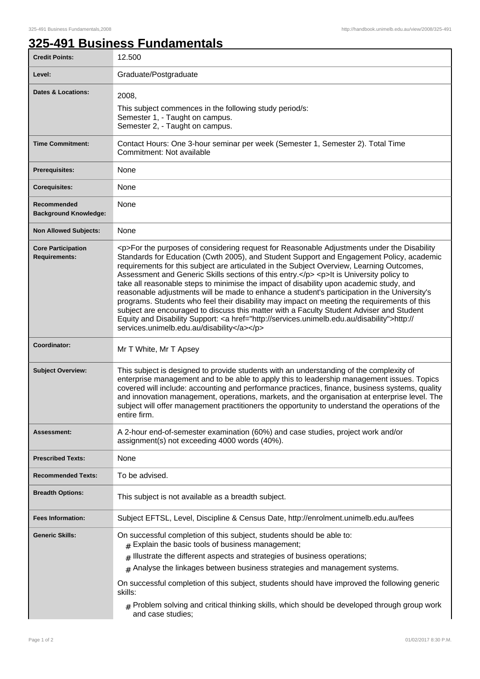## **325-491 Business Fundamentals**

| <b>Credit Points:</b>                             | 12.500                                                                                                                                                                                                                                                                                                                                                                                                                                                                                                                                                                                                                                                                                                                                                                                                                                                                                                                       |
|---------------------------------------------------|------------------------------------------------------------------------------------------------------------------------------------------------------------------------------------------------------------------------------------------------------------------------------------------------------------------------------------------------------------------------------------------------------------------------------------------------------------------------------------------------------------------------------------------------------------------------------------------------------------------------------------------------------------------------------------------------------------------------------------------------------------------------------------------------------------------------------------------------------------------------------------------------------------------------------|
| Level:                                            | Graduate/Postgraduate                                                                                                                                                                                                                                                                                                                                                                                                                                                                                                                                                                                                                                                                                                                                                                                                                                                                                                        |
| <b>Dates &amp; Locations:</b>                     | 2008,<br>This subject commences in the following study period/s:<br>Semester 1, - Taught on campus.<br>Semester 2, - Taught on campus.                                                                                                                                                                                                                                                                                                                                                                                                                                                                                                                                                                                                                                                                                                                                                                                       |
| <b>Time Commitment:</b>                           | Contact Hours: One 3-hour seminar per week (Semester 1, Semester 2). Total Time<br>Commitment: Not available                                                                                                                                                                                                                                                                                                                                                                                                                                                                                                                                                                                                                                                                                                                                                                                                                 |
| Prerequisites:                                    | None                                                                                                                                                                                                                                                                                                                                                                                                                                                                                                                                                                                                                                                                                                                                                                                                                                                                                                                         |
| <b>Corequisites:</b>                              | None                                                                                                                                                                                                                                                                                                                                                                                                                                                                                                                                                                                                                                                                                                                                                                                                                                                                                                                         |
| Recommended<br><b>Background Knowledge:</b>       | None                                                                                                                                                                                                                                                                                                                                                                                                                                                                                                                                                                                                                                                                                                                                                                                                                                                                                                                         |
| <b>Non Allowed Subjects:</b>                      | None                                                                                                                                                                                                                                                                                                                                                                                                                                                                                                                                                                                                                                                                                                                                                                                                                                                                                                                         |
| <b>Core Participation</b><br><b>Requirements:</b> | <p>For the purposes of considering request for Reasonable Adjustments under the Disability<br/>Standards for Education (Cwth 2005), and Student Support and Engagement Policy, academic<br/>requirements for this subject are articulated in the Subject Overview, Learning Outcomes,<br/>Assessment and Generic Skills sections of this entry.</p> <p>lt is University policy to<br/>take all reasonable steps to minimise the impact of disability upon academic study, and<br/>reasonable adjustments will be made to enhance a student's participation in the University's<br/>programs. Students who feel their disability may impact on meeting the requirements of this<br/>subject are encouraged to discuss this matter with a Faculty Student Adviser and Student<br/>Equity and Disability Support: &lt; a href="http://services.unimelb.edu.au/disability"&gt;http://<br/>services.unimelb.edu.au/disability</p> |
| Coordinator:                                      | Mr T White, Mr T Apsey                                                                                                                                                                                                                                                                                                                                                                                                                                                                                                                                                                                                                                                                                                                                                                                                                                                                                                       |
| <b>Subject Overview:</b>                          | This subject is designed to provide students with an understanding of the complexity of<br>enterprise management and to be able to apply this to leadership management issues. Topics<br>covered will include: accounting and performance practices, finance, business systems, quality<br>and innovation management, operations, markets, and the organisation at enterprise level. The<br>subject will offer management practitioners the opportunity to understand the operations of the<br>entire firm.                                                                                                                                                                                                                                                                                                                                                                                                                  |
| <b>Assessment:</b>                                | A 2-hour end-of-semester examination (60%) and case studies, project work and/or<br>assignment(s) not exceeding 4000 words (40%).                                                                                                                                                                                                                                                                                                                                                                                                                                                                                                                                                                                                                                                                                                                                                                                            |
| <b>Prescribed Texts:</b>                          | None                                                                                                                                                                                                                                                                                                                                                                                                                                                                                                                                                                                                                                                                                                                                                                                                                                                                                                                         |
| <b>Recommended Texts:</b>                         | To be advised.                                                                                                                                                                                                                                                                                                                                                                                                                                                                                                                                                                                                                                                                                                                                                                                                                                                                                                               |
| <b>Breadth Options:</b>                           | This subject is not available as a breadth subject.                                                                                                                                                                                                                                                                                                                                                                                                                                                                                                                                                                                                                                                                                                                                                                                                                                                                          |
| <b>Fees Information:</b>                          | Subject EFTSL, Level, Discipline & Census Date, http://enrolment.unimelb.edu.au/fees                                                                                                                                                                                                                                                                                                                                                                                                                                                                                                                                                                                                                                                                                                                                                                                                                                         |
| <b>Generic Skills:</b>                            | On successful completion of this subject, students should be able to:<br>$#$ Explain the basic tools of business management;<br>$_{\#}$ Illustrate the different aspects and strategies of business operations;<br>$*$ Analyse the linkages between business strategies and management systems.<br>On successful completion of this subject, students should have improved the following generic<br>skills:<br>$_{\rm #}$ Problem solving and critical thinking skills, which should be developed through group work<br>and case studies;                                                                                                                                                                                                                                                                                                                                                                                    |